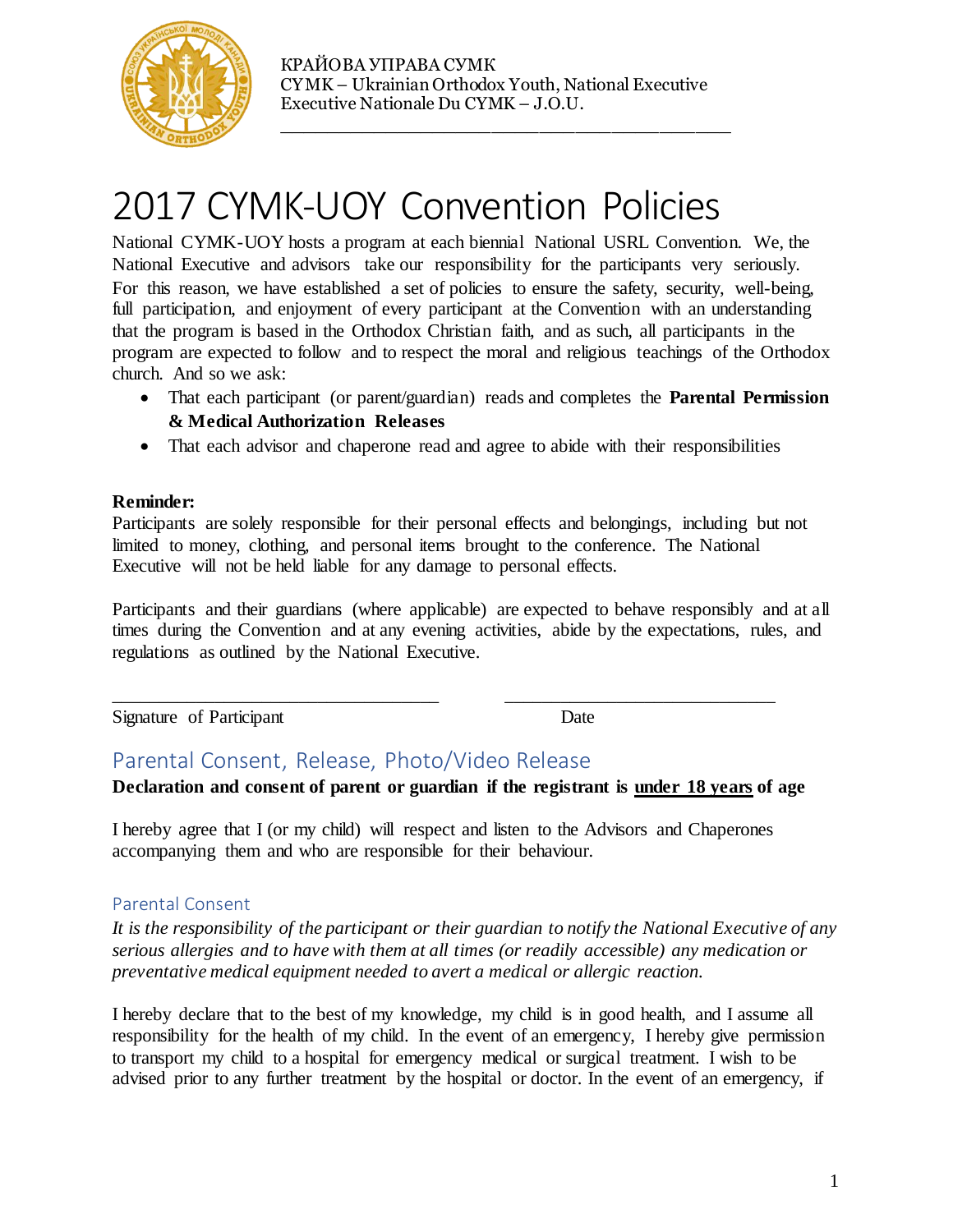

КРАЙОВА УПРАВА СУМК CYMK – Ukrainian Orthodox Youth, National Executive Executive Nationale Du CYMK – J.O.U.

\_\_\_\_\_\_\_\_\_\_\_\_\_\_\_\_\_\_\_\_\_\_\_\_\_\_\_\_\_\_\_\_\_\_\_\_\_\_

# 2017 CYMK-UOY Convention Policies

National CYMK-UOY hosts a program at each biennial National USRL Convention. We, the National Executive and advisors take our responsibility for the participants very seriously. For this reason, we have established a set of policies to ensure the safety, security, well-being, full participation, and enjoyment of every participant at the Convention with an understanding that the program is based in the Orthodox Christian faith, and as such, all participants in the program are expected to follow and to respect the moral and religious teachings of the Orthodox church. And so we ask:

- That each participant (or parent/guardian) reads and completes the **Parental Permission & Medical Authorization Releases**
- That each advisor and chaperone read and agree to abide with their responsibilities

#### **Reminder:**

Participants are solely responsible for their personal effects and belongings, including but not limited to money, clothing, and personal items brought to the conference. The National Executive will not be held liable for any damage to personal effects.

Participants and their guardians (where applicable) are expected to behave responsibly and at all times during the Convention and at any evening activities, abide by the expectations, rules, and regulations as outlined by the National Executive.

Signature of Participant Date

### Parental Consent, Release, Photo/Video Release

**Declaration and consent of parent or guardian if the registrant is under 18 years of age**

I hereby agree that I (or my child) will respect and listen to the Advisors and Chaperones accompanying them and who are responsible for their behaviour.

\_\_\_\_\_\_\_\_\_\_\_\_\_\_\_\_\_\_\_\_\_\_\_\_\_\_\_\_\_\_\_\_\_\_\_ \_\_\_\_\_\_\_\_\_\_\_\_\_\_\_\_\_\_\_\_\_\_\_\_\_\_\_\_\_

#### Parental Consent

*It is the responsibility of the participant or their guardian to notify the National Executive of any serious allergies and to have with them at all times (or readily accessible) any medication or preventative medical equipment needed to avert a medical or allergic reaction.*

I hereby declare that to the best of my knowledge, my child is in good health, and I assume all responsibility for the health of my child. In the event of an emergency, I hereby give permission to transport my child to a hospital for emergency medical or surgical treatment. I wish to be advised prior to any further treatment by the hospital or doctor. In the event of an emergency, if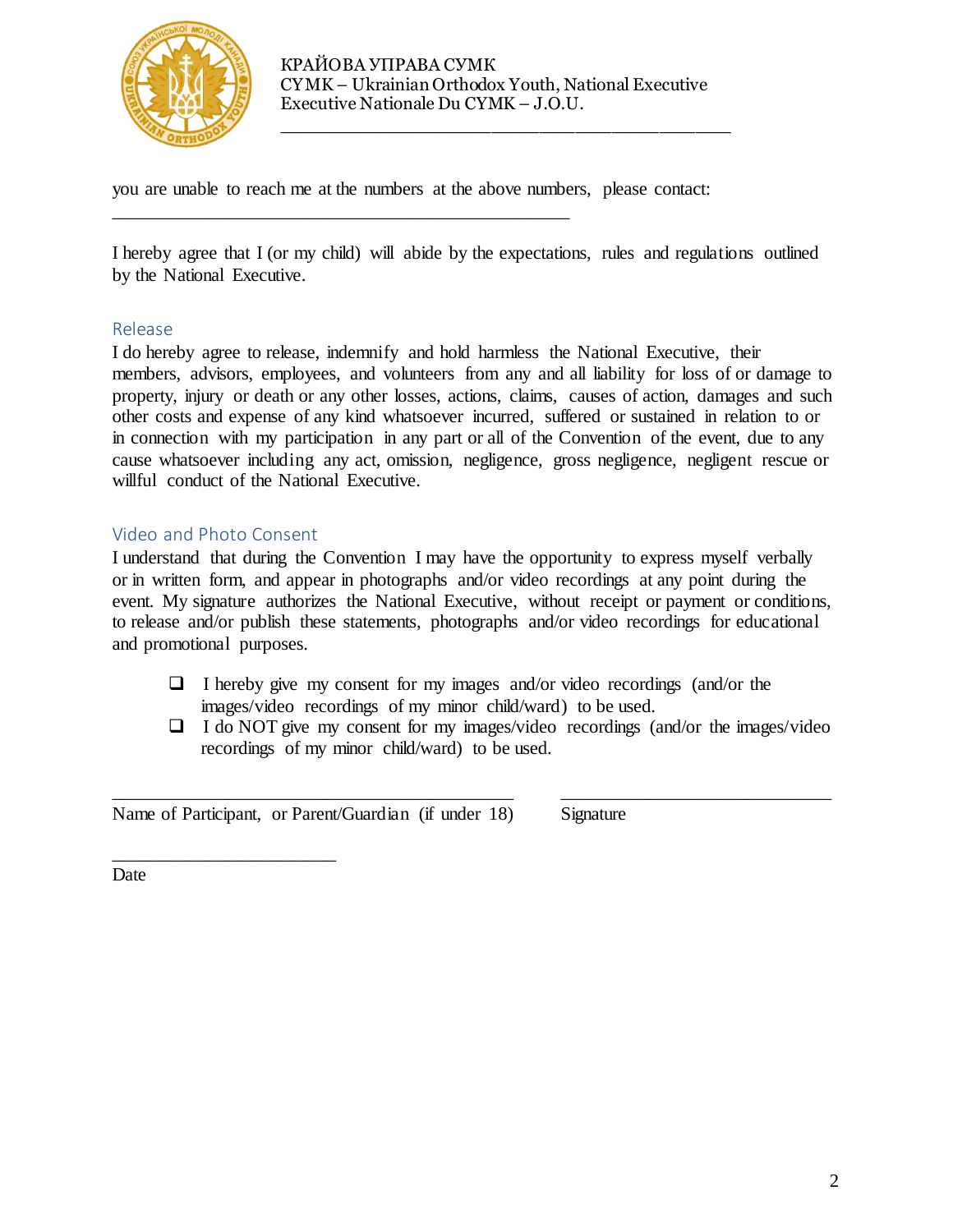

\_\_\_\_\_\_\_\_\_\_\_\_\_\_\_\_\_\_\_\_\_\_\_\_\_\_\_\_\_\_\_\_\_\_\_\_\_\_

you are unable to reach me at the numbers at the above numbers, please contact:

\_\_\_\_\_\_\_\_\_\_\_\_\_\_\_\_\_\_\_\_\_\_\_\_\_\_\_\_\_\_\_\_\_\_\_\_\_\_\_\_\_\_\_\_\_\_\_\_\_

I hereby agree that I (or my child) will abide by the expectations, rules and regulations outlined by the National Executive.

#### Release

I do hereby agree to release, indemnify and hold harmless the National Executive, their members, advisors, employees, and volunteers from any and all liability for loss of or damage to property, injury or death or any other losses, actions, claims, causes of action, damages and such other costs and expense of any kind whatsoever incurred, suffered or sustained in relation to or in connection with my participation in any part or all of the Convention of the event, due to any cause whatsoever including any act, omission, negligence, gross negligence, negligent rescue or willful conduct of the National Executive.

#### Video and Photo Consent

\_\_\_\_\_\_\_\_\_\_\_\_\_\_\_\_\_\_\_\_\_\_\_\_

I understand that during the Convention I may have the opportunity to express myself verbally or in written form, and appear in photographs and/or video recordings at any point during the event. My signature authorizes the National Executive, without receipt or payment or conditions, to release and/or publish these statements, photographs and/or video recordings for educational and promotional purposes.

 $\Box$  I hereby give my consent for my images and/or video recordings (and/or the images/video recordings of my minor child/ward) to be used.

\_\_\_\_\_\_\_\_\_\_\_\_\_\_\_\_\_\_\_\_\_\_\_\_\_\_\_\_\_\_\_\_\_\_\_\_\_\_\_\_\_\_\_ \_\_\_\_\_\_\_\_\_\_\_\_\_\_\_\_\_\_\_\_\_\_\_\_\_\_\_\_\_

 $\Box$  I do NOT give my consent for my images/video recordings (and/or the images/video recordings of my minor child/ward) to be used.

Name of Participant, or Parent/Guardian (if under 18) Signature

Date